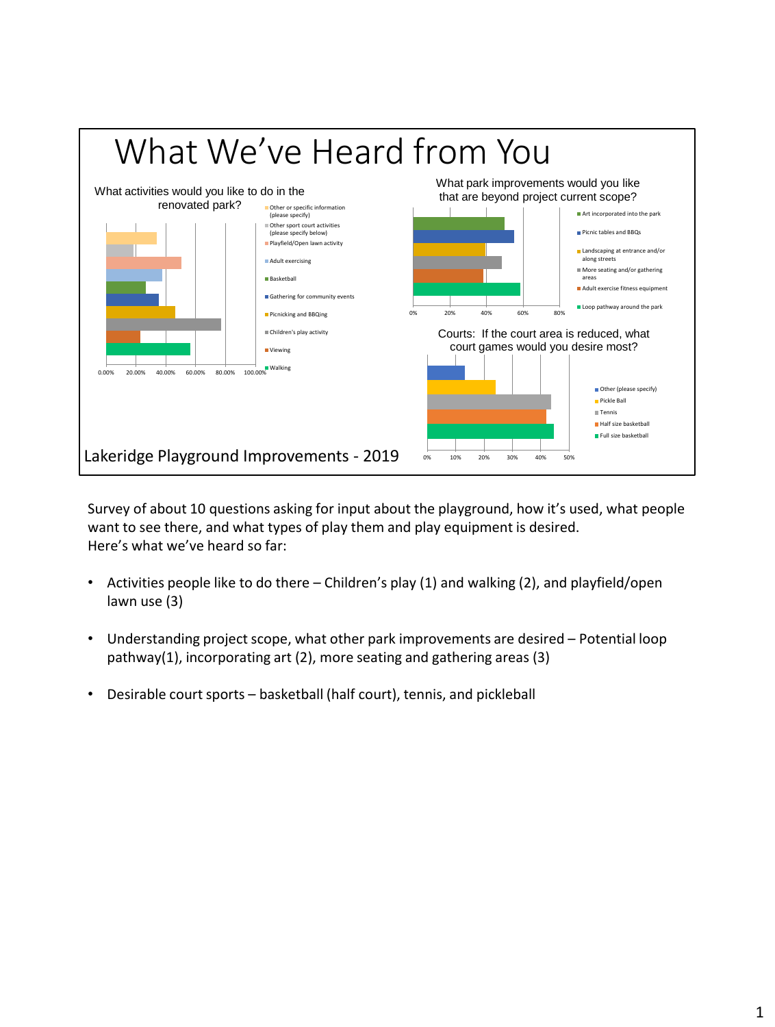

Survey of about 10 questions asking for input about the playground, how it's used, what people want to see there, and what types of play them and play equipment is desired. Here's what we've heard so far:

- Activities people like to do there Children's play (1) and walking (2), and playfield/open lawn use (3)
- Understanding project scope, what other park improvements are desired Potential loop pathway(1), incorporating art (2), more seating and gathering areas (3)
- Desirable court sports basketball (half court), tennis, and pickleball